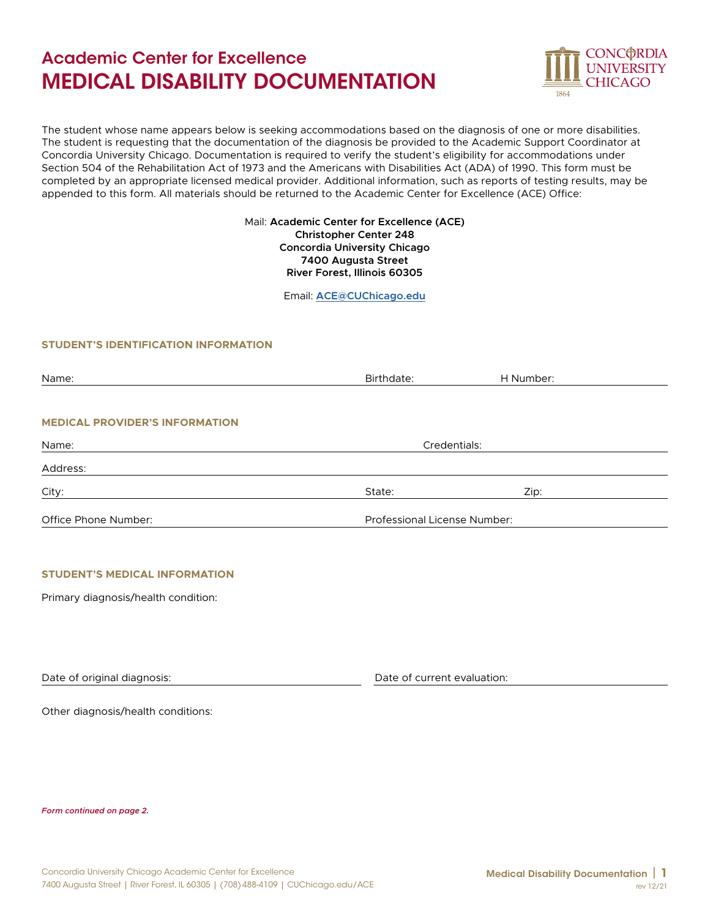# Academic Center for Excellence MEDICAL DISABILITY DOCUMENTATION



The student whose name appears below is seeking accommodations based on the diagnosis of one or more disabilities. The student is requesting that the documentation of the diagnosis be provided to the Academic Support Coordinator at Concordia University Chicago. Documentation is required to verify the student's eligibility for accommodations under Section 504 of the Rehabilitation Act of 1973 and the Americans with Disabilities Act (ADA) of 1990. This form must be completed by an appropriate licensed medical provider. Additional information, such as reports of testing results, may be appended to this form. All materials should be returned to the Academic Center for Excellence (ACE) Office:

### Mail: **Academic Center for Excellence (ACE) Christopher Center 248 Concordia University Chicago 7400 Augusta Street River Forest, Illinois 60305**

Email: **[ACE@CUChicago.edu](mailto:ACE%40CUChicago.edu?subject=)**

## **STUDENT'S IDENTIFICATION INFORMATION**

| Name:                                 | Birthdate:                   | H Number: |  |
|---------------------------------------|------------------------------|-----------|--|
|                                       |                              |           |  |
| <b>MEDICAL PROVIDER'S INFORMATION</b> |                              |           |  |
| Name:                                 | Credentials:                 |           |  |
| Address:                              |                              |           |  |
| City:                                 | State:                       | Zip:      |  |
| Office Phone Number:                  | Professional License Number: |           |  |

### **STUDENT'S MEDICAL INFORMATIONSTUDENT'S MEDICAL INFORMATION**

Primary diagnosis/health condition:

Date of original diagnosis:

Date of current evaluation:

Other diagnosis/health conditions:

*Form continued on page 2.*